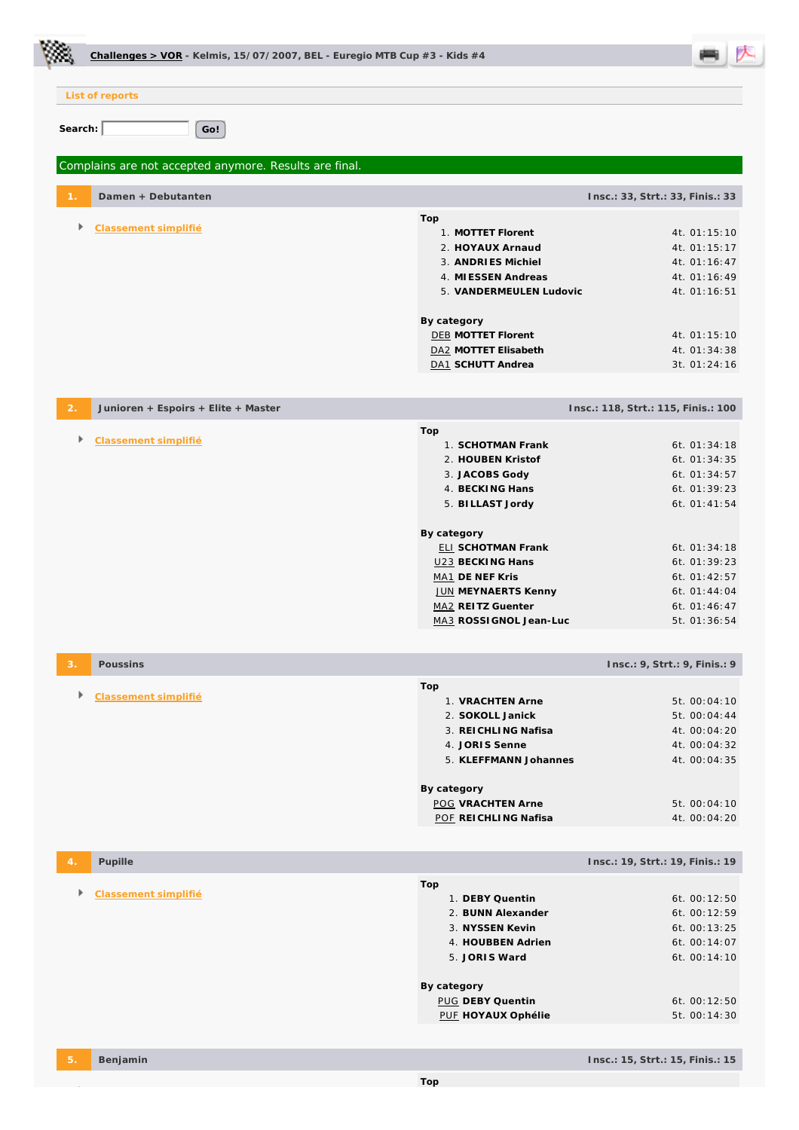| Challenges > VOR - Kelmis, 15/07/2007, BEL - Euregio MTB Cup $#3$ - Kids $#4$ |                                                                                                                                                                                                               |                                                                                                                              |
|-------------------------------------------------------------------------------|---------------------------------------------------------------------------------------------------------------------------------------------------------------------------------------------------------------|------------------------------------------------------------------------------------------------------------------------------|
| List of reports                                                               |                                                                                                                                                                                                               |                                                                                                                              |
| Search:<br>Go!                                                                |                                                                                                                                                                                                               |                                                                                                                              |
| Complains are not accepted anymore. Results are final.                        |                                                                                                                                                                                                               |                                                                                                                              |
| Damen + Debutanten                                                            |                                                                                                                                                                                                               | Insc.: 33, Strt.: 33, Finis.: 33                                                                                             |
| Þ<br>Classement simplifié                                                     | Top<br>1. MOTTET Florent<br>2. HOYAUX Arnaud<br>3. ANDRIES Michiel<br>4. MI ESSEN Andreas<br>5. VANDERMEULEN Ludovic<br>By category<br><b>DEB MOTTET Florent</b><br>DA2 MOTTET Elisabeth<br>DA1 SCHUTT Andrea | 4t. 01:15:10<br>4t. 01:15:17<br>4t. 01:16:47<br>4t. 01:16:49<br>4t. 01:16:51<br>4t. 01:15:10<br>4t. 01:34:38<br>3t. 01:24:16 |
| Junioren + Espoirs + Elite + Master                                           |                                                                                                                                                                                                               | Insc.: 118, Strt.: 115, Finis.: 100                                                                                          |
| Þ.<br>Classement simplifié                                                    | Top<br>1. SCHOTMAN Frank<br>2. HOUBEN Kristof<br>3. JACOBS Gody<br>4. BECKING Hans<br>5. BILLAST Jordy<br>By category<br><b>ELI SCHOTMAN Frank</b><br>U23 BECKING Hans                                        | 6t. 01:34:18<br>6t. 01:34:35<br>6t. 01:34:57<br>6t. 01:39:23<br>6t. $01:41:54$<br>6t. 01:34:18<br>6t. 01:39:23               |
|                                                                               | MA1 DE NEF Kris<br><b>JUN MEYNAERTS Kenny</b><br>MA2 REITZ Guenter<br>MA3 ROSSI GNOL Jean-Luc                                                                                                                 | 6t. 01:42:57<br>6t. $01:44:04$<br>6t. 01:46:47<br>5t. 01:36:54                                                               |
| Poussins<br>З.                                                                |                                                                                                                                                                                                               | Insc.: 9, Strt.: 9, Finis.: 9                                                                                                |
| Þ<br>Classement simplifié                                                     | Top<br>1. VRACHTEN Arne<br>2. SOKOLL Janick<br>3. REICHLING Nafisa<br>4. JORIS Senne<br>5. KLEFFMANN Johannes<br>By category<br><b>POG VRACHTEN Arne</b>                                                      | 5t. 00:04:10<br>5t. 00:04:44<br>4t. 00:04:20<br>4t. 00:04:32<br>4t. 00:04:35<br>5t. 00:04:10                                 |
|                                                                               | POF REICHLING Nafisa                                                                                                                                                                                          | 4t. 00:04:20                                                                                                                 |
| Pupille<br>$\overline{4}$                                                     |                                                                                                                                                                                                               | Insc.: 19, Strt.: 19, Finis.: 19                                                                                             |
| Classement simplifié                                                          | Top<br>1. DEBY Quentin<br>2. BUNN Alexander<br>3. NYSSEN Kevin<br>4. HOUBBEN Adrien<br>5. JORIS Ward<br>By category<br>PUG DEBY Quentin                                                                       | 6t. 00:12:50<br>6t. 00:12:59<br>6t. 00:13:25<br>6t. 00:14:07<br>6t. 00:14:10<br>6t. 00:12:50                                 |
|                                                                               | PUE HOYAUX Ophélie                                                                                                                                                                                            | 5t. 00:14:30                                                                                                                 |